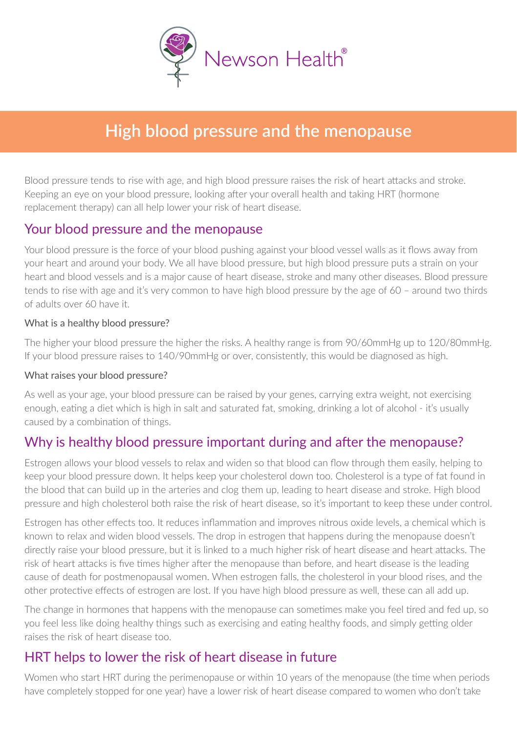

# **High blood pressure and the menopause**

Blood pressure tends to rise with age, and high blood pressure raises the risk of heart attacks and stroke. Keeping an eye on your blood pressure, looking after your overall health and taking HRT (hormone replacement therapy) can all help lower your risk of heart disease.

#### Your blood pressure and the menopause

Your blood pressure is the force of your blood pushing against your blood vessel walls as it flows away from your heart and around your body. We all have blood pressure, but high blood pressure puts a strain on your heart and blood vessels and is a major cause of heart disease, stroke and many other diseases. Blood pressure tends to rise with age and it's very common to have high blood pressure by the age of 60 – around two thirds of adults over 60 have it.

#### What is a healthy blood pressure?

The higher your blood pressure the higher the risks. A healthy range is from 90/60mmHg up to 120/80mmHg. If your blood pressure raises to 140/90mmHg or over, consistently, this would be diagnosed as high.

#### What raises your blood pressure?

As well as your age, your blood pressure can be raised by your genes, carrying extra weight, not exercising enough, eating a diet which is high in salt and saturated fat, smoking, drinking a lot of alcohol - it's usually caused by a combination of things.

## Why is healthy blood pressure important during and after the menopause?

Estrogen allows your blood vessels to relax and widen so that blood can flow through them easily, helping to keep your blood pressure down. It helps keep your cholesterol down too. Cholesterol is a type of fat found in the blood that can build up in the arteries and clog them up, leading to heart disease and stroke. High blood pressure and high cholesterol both raise the risk of heart disease, so it's important to keep these under control.

Estrogen has other effects too. It reduces inflammation and improves nitrous oxide levels, a chemical which is known to relax and widen blood vessels. The drop in estrogen that happens during the menopause doesn't directly raise your blood pressure, but it is linked to a much higher risk of heart disease and heart attacks. The risk of heart attacks is five times higher after the menopause than before, and heart disease is the leading cause of death for postmenopausal women. When estrogen falls, the cholesterol in your blood rises, and the other protective effects of estrogen are lost. If you have high blood pressure as well, these can all add up.

The change in hormones that happens with the menopause can sometimes make you feel tired and fed up, so you feel less like doing healthy things such as exercising and eating healthy foods, and simply getting older raises the risk of heart disease too.

## HRT helps to lower the risk of heart disease in future

Women who start HRT during the perimenopause or within 10 years of the menopause (the time when periods have completely stopped for one year) have a lower risk of heart disease compared to women who don't take